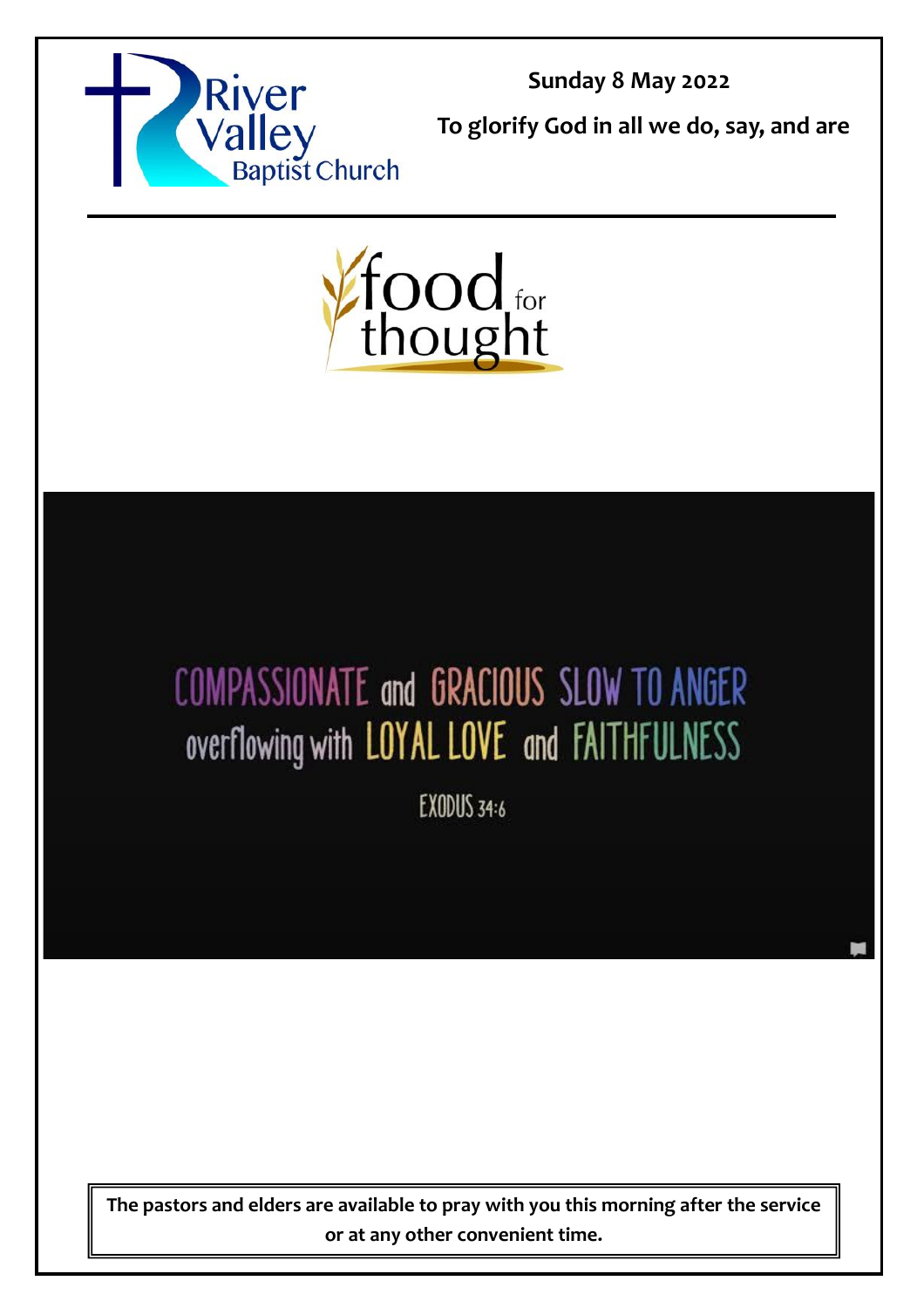

**Sunday 8 May 2022**

**To glorify God in all we do, say, and are** 



# COMPASSIONATE and GRACIOUS SLOW TO ANGER overflowing with LOYAL LOVE and FAITHFULNESS

EXODUS 34:6

**The pastors and elders are available to pray with you this morning after the service or at any other convenient time.**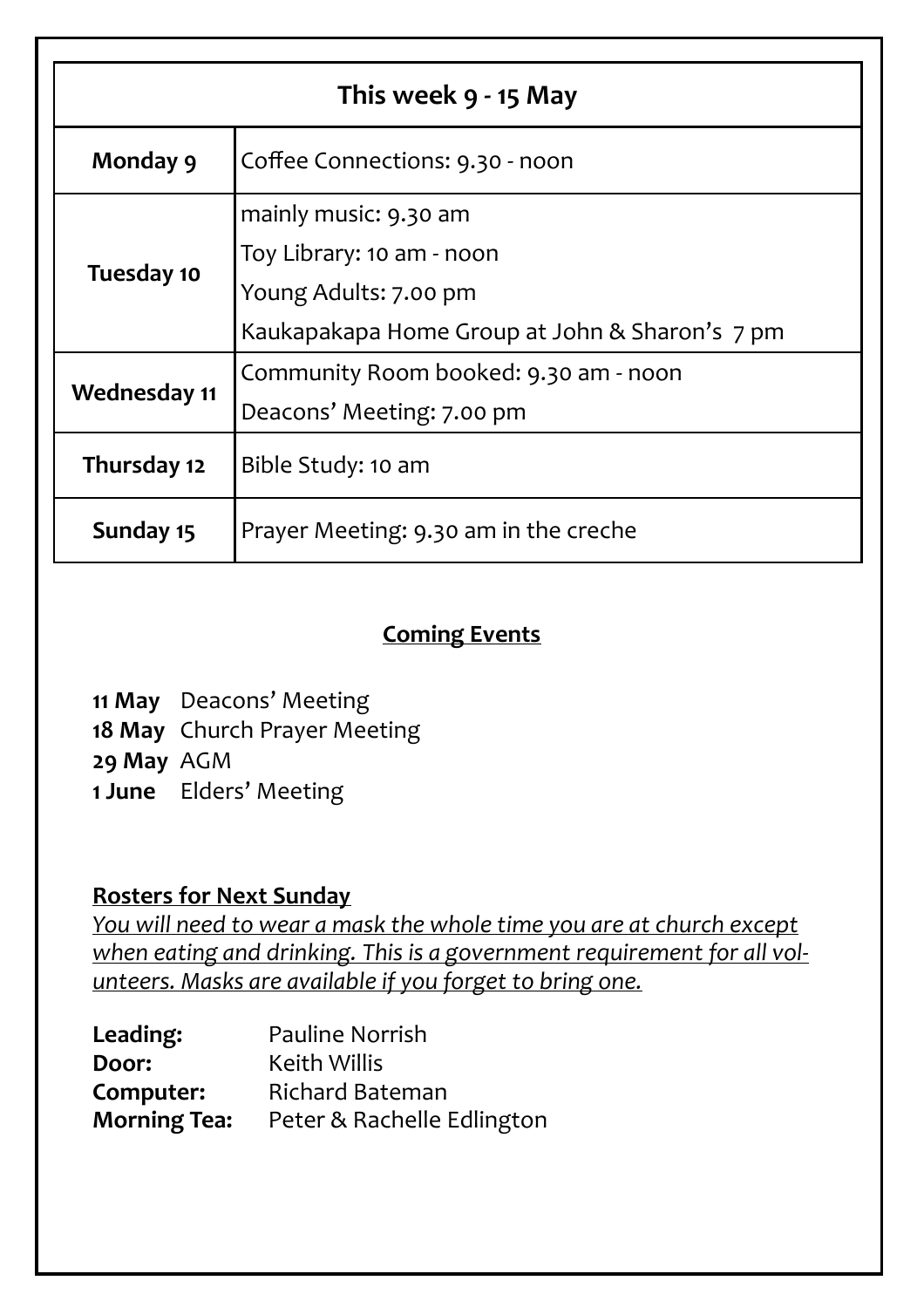| This week 9 - 15 May |                                                |  |
|----------------------|------------------------------------------------|--|
| Monday 9             | Coffee Connections: 9.30 - noon                |  |
| Tuesday 10           | mainly music: 9.30 am                          |  |
|                      | Toy Library: 10 am - noon                      |  |
|                      | Young Adults: 7.00 pm                          |  |
|                      | Kaukapakapa Home Group at John & Sharon's 7 pm |  |
| <b>Wednesday 11</b>  | Community Room booked: 9.30 am - noon          |  |
|                      | Deacons' Meeting: 7.00 pm                      |  |
| Thursday 12          | Bible Study: 10 am                             |  |
| Sunday 15            | Prayer Meeting: 9.30 am in the creche          |  |

#### **Coming Events**

**11 May** Deacons' Meeting

**18 May** Church Prayer Meeting

**29 May** AGM

**1 June** Elders' Meeting

#### **Rosters for Next Sunday**

*You will need to wear a mask the whole time you are at church except when eating and drinking. This is a government requirement for all volunteers. Masks are available if you forget to bring one.*

| Leading:            | <b>Pauline Norrish</b>     |
|---------------------|----------------------------|
| Door:               | <b>Keith Willis</b>        |
| Computer:           | <b>Richard Bateman</b>     |
| <b>Morning Tea:</b> | Peter & Rachelle Edlington |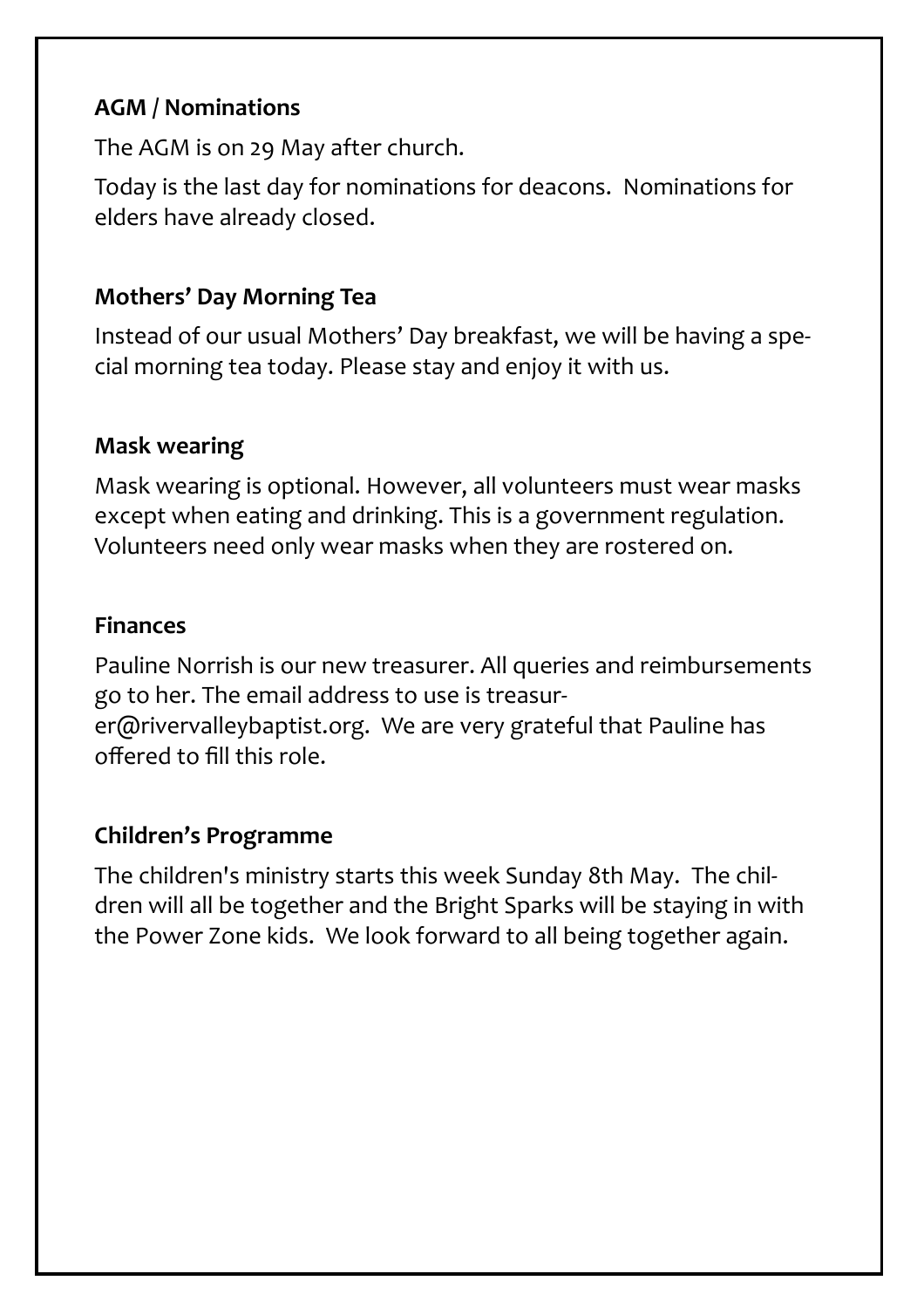## **AGM / Nominations**

The AGM is on 29 May after church.

Today is the last day for nominations for deacons. Nominations for elders have already closed.

## **Mothers' Day Morning Tea**

Instead of our usual Mothers' Day breakfast, we will be having a special morning tea today. Please stay and enjoy it with us.

#### **Mask wearing**

Mask wearing is optional. However, all volunteers must wear masks except when eating and drinking. This is a government regulation. Volunteers need only wear masks when they are rostered on.

#### **Finances**

Pauline Norrish is our new treasurer. All queries and reimbursements go to her. The email address to use is treasurer@rivervalleybaptist.org. We are very grateful that Pauline has offered to fill this role.

#### **Children's Programme**

The children's ministry starts this week Sunday 8th May. The children will all be together and the Bright Sparks will be staying in with the Power Zone kids. We look forward to all being together again.